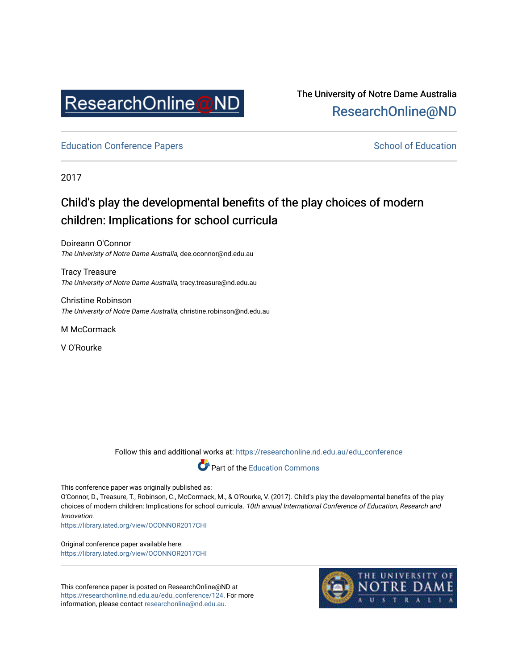

## The University of Notre Dame Australia [ResearchOnline@ND](https://researchonline.nd.edu.au/)

[Education Conference Papers](https://researchonline.nd.edu.au/edu_conference) **School of Education** School of Education

2017

# Child's play the developmental benefits of the play choices of modern children: Implications for school curricula

Doireann O'Connor The Univeristy of Notre Dame Australia, dee.oconnor@nd.edu.au

Tracy Treasure The University of Notre Dame Australia, tracy.treasure@nd.edu.au

Christine Robinson The University of Notre Dame Australia, christine.robinson@nd.edu.au

M McCormack

V O'Rourke

Follow this and additional works at: [https://researchonline.nd.edu.au/edu\\_conference](https://researchonline.nd.edu.au/edu_conference?utm_source=researchonline.nd.edu.au%2Fedu_conference%2F124&utm_medium=PDF&utm_campaign=PDFCoverPages)



This conference paper was originally published as:

O'Connor, D., Treasure, T., Robinson, C., McCormack, M., & O'Rourke, V. (2017). Child's play the developmental benefits of the play choices of modern children: Implications for school curricula. 10th annual International Conference of Education, Research and Innovation.

<https://library.iated.org/view/OCONNOR2017CHI>

Original conference paper available here: <https://library.iated.org/view/OCONNOR2017CHI>

This conference paper is posted on ResearchOnline@ND at [https://researchonline.nd.edu.au/edu\\_conference/124](https://researchonline.nd.edu.au/edu_conference/124). For more information, please contact [researchonline@nd.edu.au.](mailto:researchonline@nd.edu.au)

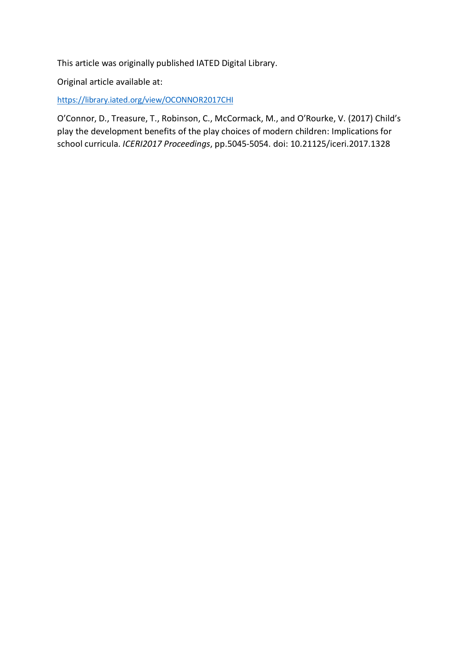This article was originally published IATED Digital Library.

Original article available at:

[https://library.iated.org/view/OCONNOR2017CHI](https://protect-au.mimecast.com/s/TO5fCNLJ89UpyMRimjRb6?domain=library.iated.org)

O'Connor, D., Treasure, T., Robinson, C., McCormack, M., and O'Rourke, V. (2017) Child's play the development benefits of the play choices of modern children: Implications for school curricula. *ICERI2017 Proceedings*, pp.5045-5054. doi: 10.21125/iceri.2017.1328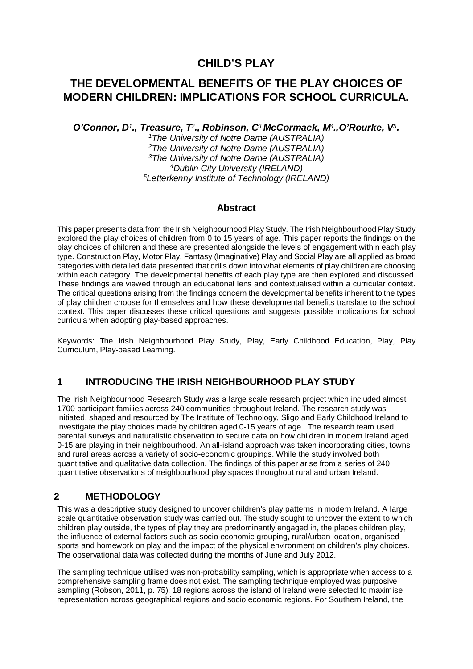## **CHILD'S PLAY**

## **THE DEVELOPMENTAL BENEFITS OF THE PLAY CHOICES OF MODERN CHILDREN: IMPLICATIONS FOR SCHOOL CURRICULA.**

*O'Connor, D1., Treasure, T2., Robinson, C3 McCormack, M4.,O'Rourke, V5.* 

*1The University of Notre Dame (AUSTRALIA) 2The University of Notre Dame (AUSTRALIA) 3The University of Notre Dame (AUSTRALIA) 4Dublin City University (IRELAND) 5Letterkenny Institute of Technology (IRELAND)* 

#### **Abstract**

This paper presents data from the Irish Neighbourhood Play Study. The Irish Neighbourhood Play Study explored the play choices of children from 0 to 15 years of age. This paper reports the findings on the play choices of children and these are presented alongside the levels of engagement within each play type. Construction Play, Motor Play, Fantasy (Imaginative) Play and Social Play are all applied as broad categories with detailed data presented that drills down into what elements of play children are choosing within each category. The developmental benefits of each play type are then explored and discussed. These findings are viewed through an educational lens and contextualised within a curricular context. The critical questions arising from the findings concern the developmental benefits inherent to the types of play children choose for themselves and how these developmental benefits translate to the school context. This paper discusses these critical questions and suggests possible implications for school curricula when adopting play-based approaches.

Keywords: The Irish Neighbourhood Play Study, Play, Early Childhood Education, Play, Play Curriculum, Play-based Learning.

## **1 INTRODUCING THE IRISH NEIGHBOURHOOD PLAY STUDY**

The Irish Neighbourhood Research Study was a large scale research project which included almost 1700 participant families across 240 communities throughout Ireland. The research study was initiated, shaped and resourced by The Institute of Technology, Sligo and Early Childhood Ireland to investigate the play choices made by children aged 0-15 years of age. The research team used parental surveys and naturalistic observation to secure data on how children in modern Ireland aged 0-15 are playing in their neighbourhood. An all-island approach was taken incorporating cities, towns and rural areas across a variety of socio-economic groupings. While the study involved both quantitative and qualitative data collection. The findings of this paper arise from a series of 240 quantitative observations of neighbourhood play spaces throughout rural and urban Ireland.

## **2 METHODOLOGY**

This was a descriptive study designed to uncover children's play patterns in modern Ireland. A large scale quantitative observation study was carried out. The study sought to uncover the extent to which children play outside, the types of play they are predominantly engaged in, the places children play, the influence of external factors such as socio economic grouping, rural/urban location, organised sports and homework on play and the impact of the physical environment on children's play choices. The observational data was collected during the months of June and July 2012.

The sampling technique utilised was non-probability sampling, which is appropriate when access to a comprehensive sampling frame does not exist. The sampling technique employed was purposive sampling (Robson, 2011, p. 75); 18 regions across the island of Ireland were selected to maximise representation across geographical regions and socio economic regions. For Southern Ireland, the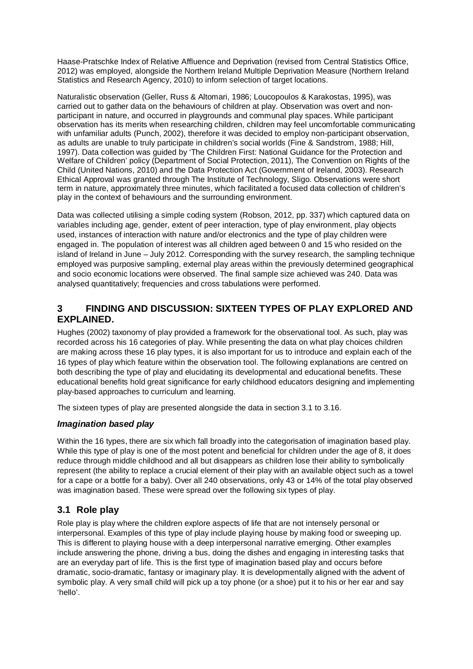Haase-Pratschke Index of Relative Affluence and Deprivation (revised from Central Statistics Office, 2012) was employed, alongside the Northern Ireland Multiple Deprivation Measure (Northern Ireland Statistics and Research Agency, 2010) to inform selection of target locations.

Naturalistic observation (Geller, Russ & Altomari, 1986; Loucopoulos & Karakostas, 1995), was carried out to gather data on the behaviours of children at play. Observation was overt and nonparticipant in nature, and occurred in playgrounds and communal play spaces. While participant observation has its merits when researching children, children may feel uncomfortable communicating with unfamiliar adults (Punch, 2002), therefore it was decided to employ non-participant observation, as adults are unable to truly participate in children's social worlds (Fine & Sandstrom, 1988; Hill, 1997). Data collection was guided by 'The Children First: National Guidance for the Protection and Welfare of Children' policy (Department of Social Protection, 2011), The Convention on Rights of the Child (United Nations, 2010) and the Data Protection Act (Government of Ireland, 2003). Research Ethical Approval was granted through The Institute of Technology, Sligo. Observations were short term in nature, approximately three minutes, which facilitated a focused data collection of children's play in the context of behaviours and the surrounding environment.

Data was collected utilising a simple coding system (Robson, 2012, pp. 337) which captured data on variables including age, gender, extent of peer interaction, type of play environment, play objects used, instances of interaction with nature and/or electronics and the type of play children were engaged in. The population of interest was all children aged between 0 and 15 who resided on the island of Ireland in June – July 2012. Corresponding with the survey research, the sampling technique employed was purposive sampling, external play areas within the previously determined geographical and socio economic locations were observed. The final sample size achieved was 240. Data was analysed quantitatively; frequencies and cross tabulations were performed.

## **3 FINDING AND DISCUSSION: SIXTEEN TYPES OF PLAY EXPLORED AND EXPLAINED.**

Hughes (2002) taxonomy of play provided a framework for the observational tool. As such, play was recorded across his 16 categories of play. While presenting the data on what play choices children are making across these 16 play types, it is also important for us to introduce and explain each of the 16 types of play which feature within the observation tool. The following explanations are centred on both describing the type of play and elucidating its developmental and educational benefits. These educational benefits hold great significance for early childhood educators designing and implementing play-based approaches to curriculum and learning.

The sixteen types of play are presented alongside the data in section 3.1 to 3.16.

## *Imagination based play*

Within the 16 types, there are six which fall broadly into the categorisation of imagination based play. While this type of play is one of the most potent and beneficial for children under the age of 8, it does reduce through middle childhood and all but disappears as children lose their ability to symbolically represent (the ability to replace a crucial element of their play with an available object such as a towel for a cape or a bottle for a baby). Over all 240 observations, only 43 or 14% of the total play observed was imagination based. These were spread over the following six types of play.

## **3.1 Role play**

Role play is play where the children explore aspects of life that are not intensely personal or interpersonal. Examples of this type of play include playing house by making food or sweeping up. This is different to playing house with a deep interpersonal narrative emerging. Other examples include answering the phone, driving a bus, doing the dishes and engaging in interesting tasks that are an everyday part of life. This is the first type of imagination based play and occurs before dramatic, socio-dramatic, fantasy or imaginary play. It is developmentally aligned with the advent of symbolic play. A very small child will pick up a toy phone (or a shoe) put it to his or her ear and say 'hello'.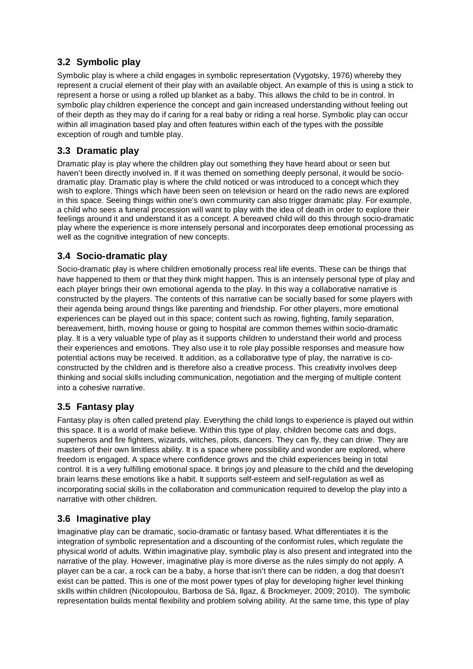## **3.2 Symbolic play**

Symbolic play is where a child engages in symbolic representation (Vygotsky, 1976) whereby they represent a crucial element of their play with an available object. An example of this is using a stick to represent a horse or using a rolled up blanket as a baby. This allows the child to be in control. In symbolic play children experience the concept and gain increased understanding without feeling out of their depth as they may do if caring for a real baby or riding a real horse. Symbolic play can occur within all imagination based play and often features within each of the types with the possible exception of rough and tumble play.

## **3.3 Dramatic play**

Dramatic play is play where the children play out something they have heard about or seen but haven't been directly involved in. If it was themed on something deeply personal, it would be sociodramatic play. Dramatic play is where the child noticed or was introduced to a concept which they wish to explore. Things which have been seen on television or heard on the radio news are explored in this space. Seeing things within one's own community can also trigger dramatic play. For example, a child who sees a funeral procession will want to play with the idea of death in order to explore their feelings around it and understand it as a concept. A bereaved child will do this through socio-dramatic play where the experience is more intensely personal and incorporates deep emotional processing as well as the cognitive integration of new concepts.

## **3.4 Socio-dramatic play**

Socio-dramatic play is where children emotionally process real life events. These can be things that have happened to them or that they think might happen. This is an intensely personal type of play and each player brings their own emotional agenda to the play. In this way a collaborative narrative is constructed by the players. The contents of this narrative can be socially based for some players with their agenda being around things like parenting and friendship. For other players, more emotional experiences can be played out in this space; content such as rowing, fighting, family separation, bereavement, birth, moving house or going to hospital are common themes within socio-dramatic play. It is a very valuable type of play as it supports children to understand their world and process their experiences and emotions. They also use it to role play possible responses and measure how potential actions may be received. It addition, as a collaborative type of play, the narrative is coconstructed by the children and is therefore also a creative process. This creativity involves deep thinking and social skills including communication, negotiation and the merging of multiple content into a cohesive narrative.

## **3.5 Fantasy play**

Fantasy play is often called pretend play. Everything the child longs to experience is played out within this space. It is a world of make believe. Within this type of play, children become cats and dogs, superheros and fire fighters, wizards, witches, pilots, dancers. They can fly, they can drive. They are masters of their own limitless ability. It is a space where possibility and wonder are explored, where freedom is engaged. A space where confidence grows and the child experiences being in total control. It is a very fulfilling emotional space. It brings joy and pleasure to the child and the developing brain learns these emotions like a habit. It supports self-esteem and self-regulation as well as incorporating social skills in the collaboration and communication required to develop the play into a narrative with other children.

## **3.6 Imaginative play**

Imaginative play can be dramatic, socio-dramatic or fantasy based. What differentiates it is the integration of symbolic representation and a discounting of the conformist rules, which regulate the physical world of adults. Within imaginative play, symbolic play is also present and integrated into the narrative of the play. However, imaginative play is more diverse as the rules simply do not apply. A player can be a car, a rock can be a baby, a horse that isn't there can be ridden, a dog that doesn't exist can be patted. This is one of the most power types of play for developing higher level thinking skills within children (Nicolopoulou, Barbosa de Sá, Ilgaz, & Brockmeyer, 2009; 2010). The symbolic representation builds mental flexibility and problem solving ability. At the same time, this type of play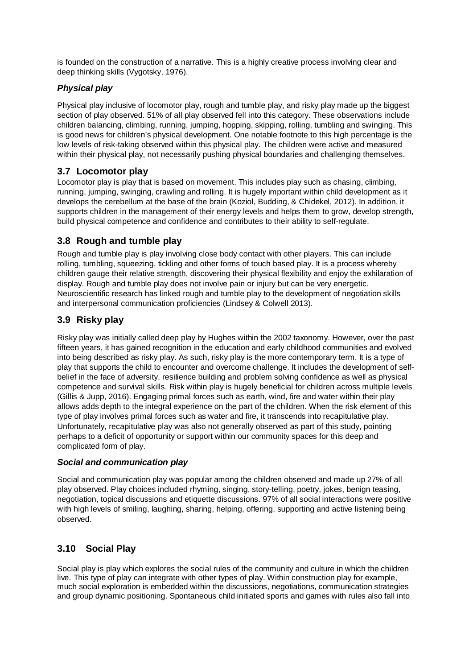is founded on the construction of a narrative. This is a highly creative process involving clear and deep thinking skills (Vygotsky, 1976).

#### *Physical play*

Physical play inclusive of locomotor play, rough and tumble play, and risky play made up the biggest section of play observed. 51% of all play observed fell into this category. These observations include children balancing, climbing, running, jumping, hopping, skipping, rolling, tumbling and swinging. This is good news for children's physical development. One notable footnote to this high percentage is the low levels of risk-taking observed within this physical play. The children were active and measured within their physical play, not necessarily pushing physical boundaries and challenging themselves.

## **3.7 Locomotor play**

Locomotor play is play that is based on movement. This includes play such as chasing, climbing, running, jumping, swinging, crawling and rolling. It is hugely important within child development as it develops the cerebellum at the base of the brain (Koziol, Budding, & Chidekel, 2012). In addition, it supports children in the management of their energy levels and helps them to grow, develop strength, build physical competence and confidence and contributes to their ability to self-regulate.

## **3.8 Rough and tumble play**

Rough and tumble play is play involving close body contact with other players. This can include rolling, tumbling, squeezing, tickling and other forms of touch based play. It is a process whereby children gauge their relative strength, discovering their physical flexibility and enjoy the exhilaration of display. Rough and tumble play does not involve pain or injury but can be very energetic. Neuroscientific research has linked rough and tumble play to the development of negotiation skills and interpersonal communication proficiencies (Lindsey & Colwell 2013).

## **3.9 Risky play**

Risky play was initially called deep play by Hughes within the 2002 taxonomy. However, over the past fifteen years, it has gained recognition in the education and early childhood communities and evolved into being described as risky play. As such, risky play is the more contemporary term. It is a type of play that supports the child to encounter and overcome challenge. It includes the development of selfbelief in the face of adversity, resilience building and problem solving confidence as well as physical competence and survival skills. Risk within play is hugely beneficial for children across multiple levels (Gillis & Jupp, 2016). Engaging primal forces such as earth, wind, fire and water within their play allows adds depth to the integral experience on the part of the children. When the risk element of this type of play involves primal forces such as water and fire, it transcends into recapitulative play. Unfortunately, recapitulative play was also not generally observed as part of this study, pointing perhaps to a deficit of opportunity or support within our community spaces for this deep and complicated form of play.

#### *Social and communication play*

Social and communication play was popular among the children observed and made up 27% of all play observed. Play choices included rhyming, singing, story-telling, poetry, jokes, benign teasing, negotiation, topical discussions and etiquette discussions. 97% of all social interactions were positive with high levels of smiling, laughing, sharing, helping, offering, supporting and active listening being observed.

## **3.10 Social Play**

Social play is play which explores the social rules of the community and culture in which the children live. This type of play can integrate with other types of play. Within construction play for example, much social exploration is embedded within the discussions, negotiations, communication strategies and group dynamic positioning. Spontaneous child initiated sports and games with rules also fall into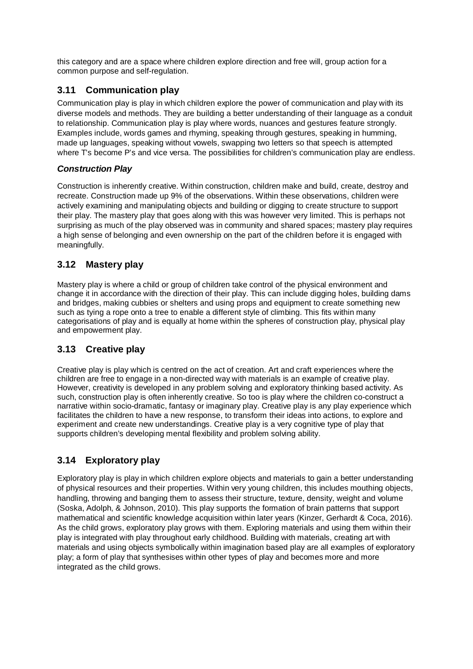this category and are a space where children explore direction and free will, group action for a common purpose and self-regulation.

## **3.11 Communication play**

Communication play is play in which children explore the power of communication and play with its diverse models and methods. They are building a better understanding of their language as a conduit to relationship. Communication play is play where words, nuances and gestures feature strongly. Examples include, words games and rhyming, speaking through gestures, speaking in humming, made up languages, speaking without vowels, swapping two letters so that speech is attempted where T's become P's and vice versa. The possibilities for children's communication play are endless.

## *Construction Play*

Construction is inherently creative. Within construction, children make and build, create, destroy and recreate. Construction made up 9% of the observations. Within these observations, children were actively examining and manipulating objects and building or digging to create structure to support their play. The mastery play that goes along with this was however very limited. This is perhaps not surprising as much of the play observed was in community and shared spaces; mastery play requires a high sense of belonging and even ownership on the part of the children before it is engaged with meaningfully.

## **3.12 Mastery play**

Mastery play is where a child or group of children take control of the physical environment and change it in accordance with the direction of their play. This can include digging holes, building dams and bridges, making cubbies or shelters and using props and equipment to create something new such as tying a rope onto a tree to enable a different style of climbing. This fits within many categorisations of play and is equally at home within the spheres of construction play, physical play and empowerment play.

## **3.13 Creative play**

Creative play is play which is centred on the act of creation. Art and craft experiences where the children are free to engage in a non-directed way with materials is an example of creative play. However, creativity is developed in any problem solving and exploratory thinking based activity. As such, construction play is often inherently creative. So too is play where the children co-construct a narrative within socio-dramatic, fantasy or imaginary play. Creative play is any play experience which facilitates the children to have a new response, to transform their ideas into actions, to explore and experiment and create new understandings. Creative play is a very cognitive type of play that supports children's developing mental flexibility and problem solving ability.

## **3.14 Exploratory play**

Exploratory play is play in which children explore objects and materials to gain a better understanding of physical resources and their properties. Within very young children, this includes mouthing objects, handling, throwing and banging them to assess their structure, texture, density, weight and volume (Soska, Adolph, & Johnson, 2010). This play supports the formation of brain patterns that support mathematical and scientific knowledge acquisition within later years (Kinzer, Gerhardt & Coca, 2016). As the child grows, exploratory play grows with them. Exploring materials and using them within their play is integrated with play throughout early childhood. Building with materials, creating art with materials and using objects symbolically within imagination based play are all examples of exploratory play; a form of play that synthesises within other types of play and becomes more and more integrated as the child grows.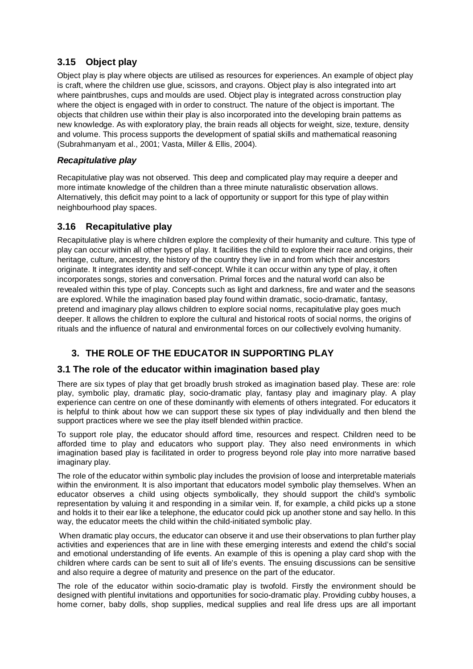## **3.15 Object play**

Object play is play where objects are utilised as resources for experiences. An example of object play is craft, where the children use glue, scissors, and crayons. Object play is also integrated into art where paintbrushes, cups and moulds are used. Object play is integrated across construction play where the object is engaged with in order to construct. The nature of the object is important. The objects that children use within their play is also incorporated into the developing brain patterns as new knowledge. As with exploratory play, the brain reads all objects for weight, size, texture, density and volume. This process supports the development of spatial skills and mathematical reasoning (Subrahmanyam et al., 2001; Vasta, Miller & Ellis, 2004).

#### *Recapitulative play*

Recapitulative play was not observed. This deep and complicated play may require a deeper and more intimate knowledge of the children than a three minute naturalistic observation allows. Alternatively, this deficit may point to a lack of opportunity or support for this type of play within neighbourhood play spaces.

## **3.16 Recapitulative play**

Recapitulative play is where children explore the complexity of their humanity and culture. This type of play can occur within all other types of play. It facilities the child to explore their race and origins, their heritage, culture, ancestry, the history of the country they live in and from which their ancestors originate. It integrates identity and self-concept. While it can occur within any type of play, it often incorporates songs, stories and conversation. Primal forces and the natural world can also be revealed within this type of play. Concepts such as light and darkness, fire and water and the seasons are explored. While the imagination based play found within dramatic, socio-dramatic, fantasy, pretend and imaginary play allows children to explore social norms, recapitulative play goes much deeper. It allows the children to explore the cultural and historical roots of social norms, the origins of rituals and the influence of natural and environmental forces on our collectively evolving humanity.

## **3. THE ROLE OF THE EDUCATOR IN SUPPORTING PLAY**

## **3.1 The role of the educator within imagination based play**

There are six types of play that get broadly brush stroked as imagination based play. These are: role play, symbolic play, dramatic play, socio-dramatic play, fantasy play and imaginary play. A play experience can centre on one of these dominantly with elements of others integrated. For educators it is helpful to think about how we can support these six types of play individually and then blend the support practices where we see the play itself blended within practice.

To support role play, the educator should afford time, resources and respect. Children need to be afforded time to play and educators who support play. They also need environments in which imagination based play is facilitated in order to progress beyond role play into more narrative based imaginary play.

The role of the educator within symbolic play includes the provision of loose and interpretable materials within the environment. It is also important that educators model symbolic play themselves. When an educator observes a child using objects symbolically, they should support the child's symbolic representation by valuing it and responding in a similar vein. If, for example, a child picks up a stone and holds it to their ear like a telephone, the educator could pick up another stone and say hello. In this way, the educator meets the child within the child-initiated symbolic play.

When dramatic play occurs, the educator can observe it and use their observations to plan further play activities and experiences that are in line with these emerging interests and extend the child's social and emotional understanding of life events. An example of this is opening a play card shop with the children where cards can be sent to suit all of life's events. The ensuing discussions can be sensitive and also require a degree of maturity and presence on the part of the educator.

The role of the educator within socio-dramatic play is twofold. Firstly the environment should be designed with plentiful invitations and opportunities for socio-dramatic play. Providing cubby houses, a home corner, baby dolls, shop supplies, medical supplies and real life dress ups are all important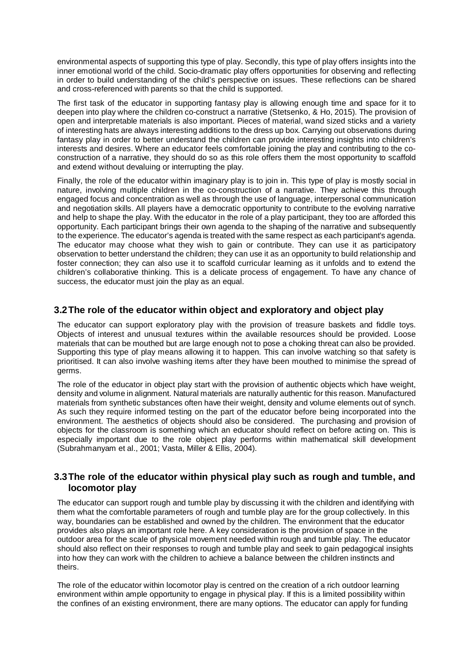environmental aspects of supporting this type of play. Secondly, this type of play offers insights into the inner emotional world of the child. Socio-dramatic play offers opportunities for observing and reflecting in order to build understanding of the child's perspective on issues. These reflections can be shared and cross-referenced with parents so that the child is supported.

The first task of the educator in supporting fantasy play is allowing enough time and space for it to deepen into play where the children co-construct a narrative (Stetsenko, & Ho, 2015). The provision of open and interpretable materials is also important. Pieces of material, wand sized sticks and a variety of interesting hats are always interesting additions to the dress up box. Carrying out observations during fantasy play in order to better understand the children can provide interesting insights into children's interests and desires. Where an educator feels comfortable joining the play and contributing to the coconstruction of a narrative, they should do so as this role offers them the most opportunity to scaffold and extend without devaluing or interrupting the play.

Finally, the role of the educator within imaginary play is to join in. This type of play is mostly social in nature, involving multiple children in the co-construction of a narrative. They achieve this through engaged focus and concentration as well as through the use of language, interpersonal communication and negotiation skills. All players have a democratic opportunity to contribute to the evolving narrative and help to shape the play. With the educator in the role of a play participant, they too are afforded this opportunity. Each participant brings their own agenda to the shaping of the narrative and subsequently to the experience. The educator's agenda is treated with the same respect as each participant's agenda. The educator may choose what they wish to gain or contribute. They can use it as participatory observation to better understand the children; they can use it as an opportunity to build relationship and foster connection; they can also use it to scaffold curricular learning as it unfolds and to extend the children's collaborative thinking. This is a delicate process of engagement. To have any chance of success, the educator must join the play as an equal.

## **3.2The role of the educator within object and exploratory and object play**

The educator can support exploratory play with the provision of treasure baskets and fiddle toys. Objects of interest and unusual textures within the available resources should be provided. Loose materials that can be mouthed but are large enough not to pose a choking threat can also be provided. Supporting this type of play means allowing it to happen. This can involve watching so that safety is prioritised. It can also involve washing items after they have been mouthed to minimise the spread of germs.

The role of the educator in object play start with the provision of authentic objects which have weight, density and volume in alignment. Natural materials are naturally authentic for this reason. Manufactured materials from synthetic substances often have their weight, density and volume elements out of synch. As such they require informed testing on the part of the educator before being incorporated into the environment. The aesthetics of objects should also be considered. The purchasing and provision of objects for the classroom is something which an educator should reflect on before acting on. This is especially important due to the role object play performs within mathematical skill development (Subrahmanyam et al., 2001; Vasta, Miller & Ellis, 2004).

#### **3.3The role of the educator within physical play such as rough and tumble, and locomotor play**

The educator can support rough and tumble play by discussing it with the children and identifying with them what the comfortable parameters of rough and tumble play are for the group collectively. In this way, boundaries can be established and owned by the children. The environment that the educator provides also plays an important role here. A key consideration is the provision of space in the outdoor area for the scale of physical movement needed within rough and tumble play. The educator should also reflect on their responses to rough and tumble play and seek to gain pedagogical insights into how they can work with the children to achieve a balance between the children instincts and theirs.

The role of the educator within locomotor play is centred on the creation of a rich outdoor learning environment within ample opportunity to engage in physical play. If this is a limited possibility within the confines of an existing environment, there are many options. The educator can apply for funding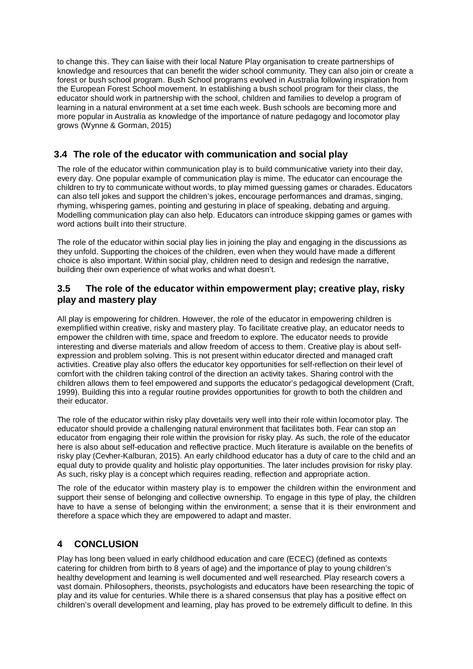to change this. They can liaise with their local Nature Play organisation to create partnerships of knowledge and resources that can benefit the wider school community. They can also join or create a forest or bush school program. Bush School programs evolved in Australia following inspiration from the European Forest School movement. In establishing a bush school program for their class, the educator should work in partnership with the school, children and families to develop a program of learning in a natural environment at a set time each week. Bush schools are becoming more and more popular in Australia as knowledge of the importance of nature pedagogy and locomotor play grows (Wynne & Gorman, 2015)

#### **3.4 The role of the educator with communication and social play**

The role of the educator within communication play is to build communicative variety into their day, every day. One popular example of communication play is mime. The educator can encourage the children to try to communicate without words, to play mimed guessing games or charades. Educators can also tell jokes and support the children's jokes, encourage performances and dramas, singing, rhyming, whispering games, pointing and gesturing in place of speaking, debating and arguing. Modelling communication play can also help. Educators can introduce skipping games or games with word actions built into their structure.

The role of the educator within social play lies in joining the play and engaging in the discussions as they unfold. Supporting the choices of the children, even when they would have made a different choice is also important. Within social play, children need to design and redesign the narrative, building their own experience of what works and what doesn't.

#### **3.5 The role of the educator within empowerment play; creative play, risky play and mastery play**

All play is empowering for children. However, the role of the educator in empowering children is exemplified within creative, risky and mastery play. To facilitate creative play, an educator needs to empower the children with time, space and freedom to explore. The educator needs to provide interesting and diverse materials and allow freedom of access to them. Creative play is about selfexpression and problem solving. This is not present within educator directed and managed craft activities. Creative play also offers the educator key opportunities for self-reflection on their level of comfort with the children taking control of the direction an activity takes. Sharing control with the children allows them to feel empowered and supports the educator's pedagogical development (Craft, 1999). Building this into a regular routine provides opportunities for growth to both the children and their educator.

The role of the educator within risky play dovetails very well into their role within locomotor play. The educator should provide a challenging natural environment that facilitates both. Fear can stop an educator from engaging their role within the provision for risky play. As such, the role of the educator here is also about self-education and reflective practice. Much literature is available on the benefits of risky play (Cevher-Kalburan, 2015). An early childhood educator has a duty of care to the child and an equal duty to provide quality and holistic play opportunities. The later includes provision for risky play. As such, risky play is a concept which requires reading, reflection and appropriate action.

The role of the educator within mastery play is to empower the children within the environment and support their sense of belonging and collective ownership. To engage in this type of play, the children have to have a sense of belonging within the environment; a sense that it is their environment and therefore a space which they are empowered to adapt and master.

## **4 CONCLUSION**

Play has long been valued in early childhood education and care (ECEC) (defined as contexts catering for children from birth to 8 years of age) and the importance of play to young children's healthy development and learning is well documented and well researched. Play research covers a vast domain. Philosophers, theorists, psychologists and educators have been researching the topic of play and its value for centuries. While there is a shared consensus that play has a positive effect on children's overall development and learning, play has proved to be extremely difficult to define. In this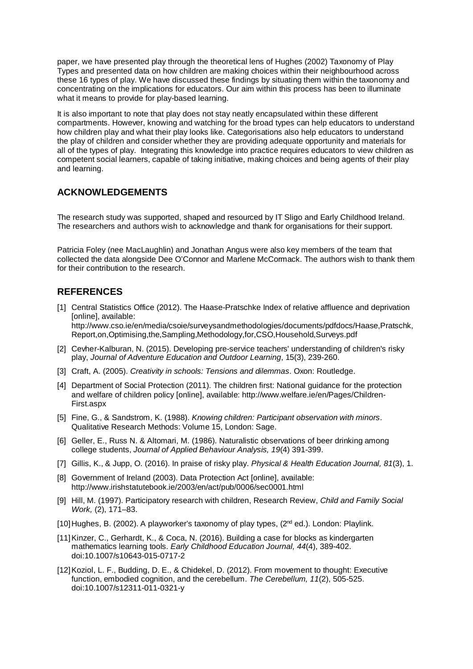paper, we have presented play through the theoretical lens of Hughes (2002) Taxonomy of Play Types and presented data on how children are making choices within their neighbourhood across these 16 types of play. We have discussed these findings by situating them within the taxonomy and concentrating on the implications for educators. Our aim within this process has been to illuminate what it means to provide for play-based learning.

It is also important to note that play does not stay neatly encapsulated within these different compartments. However, knowing and watching for the broad types can help educators to understand how children play and what their play looks like. Categorisations also help educators to understand the play of children and consider whether they are providing adequate opportunity and materials for all of the types of play. Integrating this knowledge into practice requires educators to view children as competent social learners, capable of taking initiative, making choices and being agents of their play and learning.

## **ACKNOWLEDGEMENTS**

The research study was supported, shaped and resourced by IT Sligo and Early Childhood Ireland. The researchers and authors wish to acknowledge and thank for organisations for their support.

Patricia Foley (nee MacLaughlin) and Jonathan Angus were also key members of the team that collected the data alongside Dee O'Connor and Marlene McCormack. The authors wish to thank them for their contribution to the research.

## **REFERENCES**

- [1] Central Statistics Office (2012). The Haase-Pratschke Index of relative affluence and deprivation [online], available: http://www.cso.ie/en/media/csoie/surveysandmethodologies/documents/pdfdocs/Haase,Pratschk, Report,on,Optimising,the,Sampling,Methodology,for,CSO,Household,Surveys.pdf
- [2] Cevher-Kalburan, N. (2015). Developing pre-service teachers' understanding of children's risky play, *Journal of Adventure Education and Outdoor Learning*, 15(3), 239-260.
- [3] Craft, A. (2005). *Creativity in schools: Tensions and dilemmas*. Oxon: Routledge.
- [4] Department of Social Protection (2011). The children first: National guidance for the protection and welfare of children policy [online], available: http://www.welfare.ie/en/Pages/Children-First.aspx
- [5] Fine, G., & Sandstrom, K. (1988). *Knowing children: Participant observation with minors*. Qualitative Research Methods: Volume 15, London: Sage.
- [6] Geller, E., Russ N. & Altomari, M. (1986). Naturalistic observations of beer drinking among college students, *Journal of Applied Behaviour Analysis, 19*(4) 391-399.
- [7] Gillis, K., & Jupp, O. (2016). In praise of risky play. *Physical & Health Education Journal, 81*(3), 1.
- [8] Government of Ireland (2003). Data Protection Act [online], available: http://www.irishstatutebook.ie/2003/en/act/pub/0006/sec0001.html
- [9] Hill, M. (1997). Participatory research with children, Research Review, *Child and Family Social Work,* (2), 171–83.
- [10] Hughes, B. (2002). A playworker's taxonomy of play types,  $(2^{nd}$  ed.). London: Playlink.
- [11]Kinzer, C., Gerhardt, K., & Coca, N. (2016). Building a case for blocks as kindergarten mathematics learning tools. *Early Childhood Education Journal, 44*(4), 389-402. doi:10.1007/s10643-015-0717-2
- [12]Koziol, L. F., Budding, D. E., & Chidekel, D. (2012). From movement to thought: Executive function, embodied cognition, and the cerebellum. *The Cerebellum, 11*(2), 505-525. doi:10.1007/s12311-011-0321-y